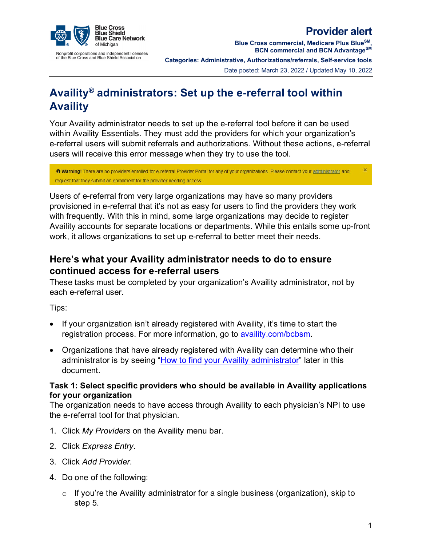

**Provider alert**

Nonprofit corporations and independent licensees<br>of the Blue Cross and Blue Shield Association

**Blue Cross commercial, Medicare Plus BlueSM, BCN commercial and BCN AdvantageSM Categories: Administrative, Authorizations/referrals, Self-service tools** Date posted: March 23, 2022 / Updated May 10, 2022

# **Availity® administrators: Set up the e-referral tool within Availity**

Your Availity administrator needs to set up the e-referral tool before it can be used within Availity Essentials. They must add the providers for which your organization's e-referral users will submit referrals and authorizations. Without these actions, e-referral users will receive this error message when they try to use the tool.

**O Warning!** There are no providers enrolled for e-referral Provider Portal for any of your organizations. Please contact your administrator and request that they submit an enrollment for the provider needing access

Users of e-referral from very large organizations may have so many providers provisioned in e-referral that it's not as easy for users to find the providers they work with frequently. With this in mind, some large organizations may decide to register Availity accounts for separate locations or departments. While this entails some up-front work, it allows organizations to set up e-referral to better meet their needs.

## **Here's what your Availity administrator needs to do to ensure continued access for e-referral users**

These tasks must be completed by your organization's Availity administrator, not by each e-referral user.

Tips:

- If your organization isn't already registered with Availity, it's time to start the registration process. For more information, go to [availity.com/bcbsm.](https://www.availity.com/bcbsm)
- Organizations that have already registered with Availity can determine who their administrator is by seeing ["How to find your Availity administrator"](#page-2-0) later in this document.

#### **Task 1: Select specific providers who should be available in Availity applications for your organization**

The organization needs to have access through Availity to each physician's NPI to use the e-referral tool for that physician.

- 1. Click *My Providers* on the Availity menu bar.
- 2. Click *Express Entry*.
- 3. Click *Add Provider*.
- 4. Do one of the following:
	- $\circ$  If you're the Availity administrator for a single business (organization), skip to step 5.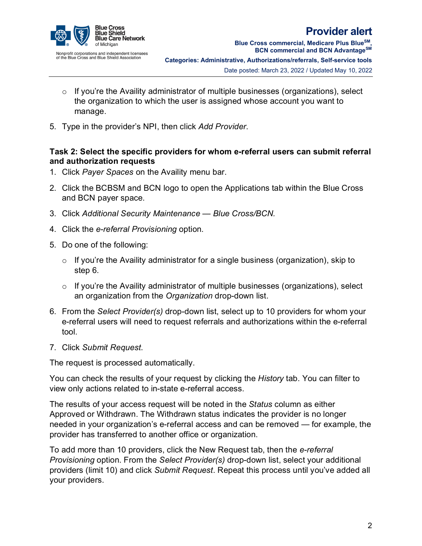

**Blue Cross commercial, Medicare Plus BlueSM, BCN commercial and BCN AdvantageSM Categories: Administrative, Authorizations/referrals, Self-service tools** Date posted: March 23, 2022 / Updated May 10, 2022

- $\circ$  If you're the Availity administrator of multiple businesses (organizations), select the organization to which the user is assigned whose account you want to manage.
- 5. Type in the provider's NPI, then click *Add Provider*.

#### **Task 2: Select the specific providers for whom e-referral users can submit referral and authorization requests**

- 1. Click *Payer Spaces* on the Availity menu bar.
- 2. Click the BCBSM and BCN logo to open the Applications tab within the Blue Cross and BCN payer space.
- 3. Click *Additional Security Maintenance — Blue Cross/BCN.*
- 4. Click the *e-referral Provisioning* option.
- 5. Do one of the following:
	- $\circ$  If you're the Availity administrator for a single business (organization), skip to step 6.
	- $\circ$  If you're the Availity administrator of multiple businesses (organizations), select an organization from the *Organization* drop-down list.
- 6. From the *Select Provider(s)* drop-down list, select up to 10 providers for whom your e-referral users will need to request referrals and authorizations within the e-referral tool.
- 7. Click *Submit Request*.

The request is processed automatically.

You can check the results of your request by clicking the *History* tab. You can filter to view only actions related to in-state e-referral access.

The results of your access request will be noted in the *Status* column as either Approved or Withdrawn. The Withdrawn status indicates the provider is no longer needed in your organization's e-referral access and can be removed — for example, the provider has transferred to another office or organization.

To add more than 10 providers, click the New Request tab, then the *e-referral Provisioning* option. From the *Select Provider(s)* drop-down list, select your additional providers (limit 10) and click *Submit Request*. Repeat this process until you've added all your providers.